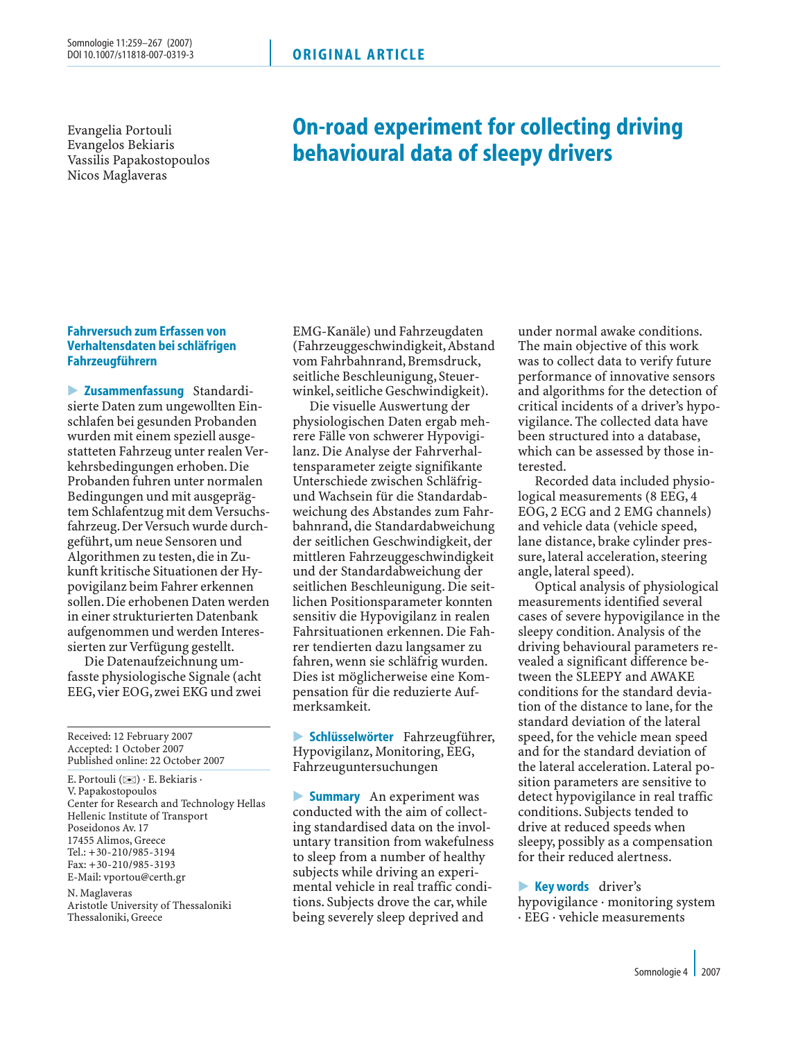Evangelia Portouli Evangelos Bekiaris Vassilis Papakostopoulos Nicos Maglaveras

# On-road experiment for collecting driving behavioural data of sleepy drivers

# Fahrversuch zum Erfassen von Verhaltensdaten bei schläfrigen Fahrzeugführern

- Zusammenfassung Standardisierte Daten zum ungewollten Einschlafen bei gesunden Probanden wurden mit einem speziell ausgestatteten Fahrzeug unter realen Verkehrsbedingungen erhoben. Die Probanden fuhren unter normalen Bedingungen und mit ausgeprägtem Schlafentzug mit dem Versuchsfahrzeug.Der Versuch wurde durchgeführt,um neue Sensoren und Algorithmen zu testen,die in Zukunft kritische Situationen der Hypovigilanz beim Fahrer erkennen sollen.Die erhobenen Daten werden in einer strukturierten Datenbank aufgenommen und werden Interessierten zur Verfügung gestellt.

Die Datenaufzeichnung umfasste physiologische Signale (acht EEG, vier EOG, zwei EKG und zwei

Received: 12 February 2007 Accepted: 1 October 2007 Published online: 22 October 2007

E. Portouli (⊠) · E. Bekiaris · V. Papakostopoulos Center for Research and Technology Hellas Hellenic Institute of Transport Poseidonos Av. 17 17455 Alimos, Greece Tel.: +30-210/985-3194 Fax: +30-210/985-3193 E-Mail: vportou@certh.gr N. Maglaveras Aristotle University of Thessaloniki Thessaloniki, Greece

EMG-Kanäle) und Fahrzeugdaten (Fahrzeuggeschwindigkeit,Abstand vom Fahrbahnrand, Bremsdruck, seitliche Beschleunigung, Steuerwinkel, seitliche Geschwindigkeit).

Die visuelle Auswertung der physiologischen Daten ergab mehrere Fälle von schwerer Hypovigilanz. Die Analyse der Fahrverhaltensparameter zeigte signifikante Unterschiede zwischen Schläfrigund Wachsein für die Standardabweichung des Abstandes zum Fahrbahnrand, die Standardabweichung der seitlichen Geschwindigkeit, der mittleren Fahrzeuggeschwindigkeit und der Standardabweichung der seitlichen Beschleunigung. Die seitlichen Positionsparameter konnten sensitiv die Hypovigilanz in realen Fahrsituationen erkennen. Die Fahrer tendierten dazu langsamer zu fahren, wenn sie schläfrig wurden. Dies ist möglicherweise eine Kompensation für die reduzierte Aufmerksamkeit.

**Schlüsselwörter** Fahrzeugführer, Hypovigilanz, Monitoring, EEG, Fahrzeuguntersuchungen

**Summary** An experiment was conducted with the aim of collecting standardised data on the involuntary transition from wakefulness to sleep from a number of healthy subjects while driving an experimental vehicle in real traffic conditions. Subjects drove the car, while being severely sleep deprived and

under normal awake conditions. The main objective of this work was to collect data to verify future performance of innovative sensors and algorithms for the detection of critical incidents of a driver's hypovigilance. The collected data have been structured into a database, which can be assessed by those interested.

Recorded data included physiological measurements (8 EEG, 4 EOG, 2 ECG and 2 EMG channels) and vehicle data (vehicle speed, lane distance, brake cylinder pressure, lateral acceleration, steering angle, lateral speed).

Optical analysis of physiological measurements identified several cases of severe hypovigilance in the sleepy condition. Analysis of the driving behavioural parameters revealed a significant difference between the SLEEPY and AWAKE conditions for the standard deviation of the distance to lane, for the standard deviation of the lateral speed, for the vehicle mean speed and for the standard deviation of the lateral acceleration. Lateral position parameters are sensitive to detect hypovigilance in real traffic conditions. Subjects tended to drive at reduced speeds when sleepy, possibly as a compensation for their reduced alertness.

**Key words** driver's hypovigilance · monitoring system · EEG · vehicle measurements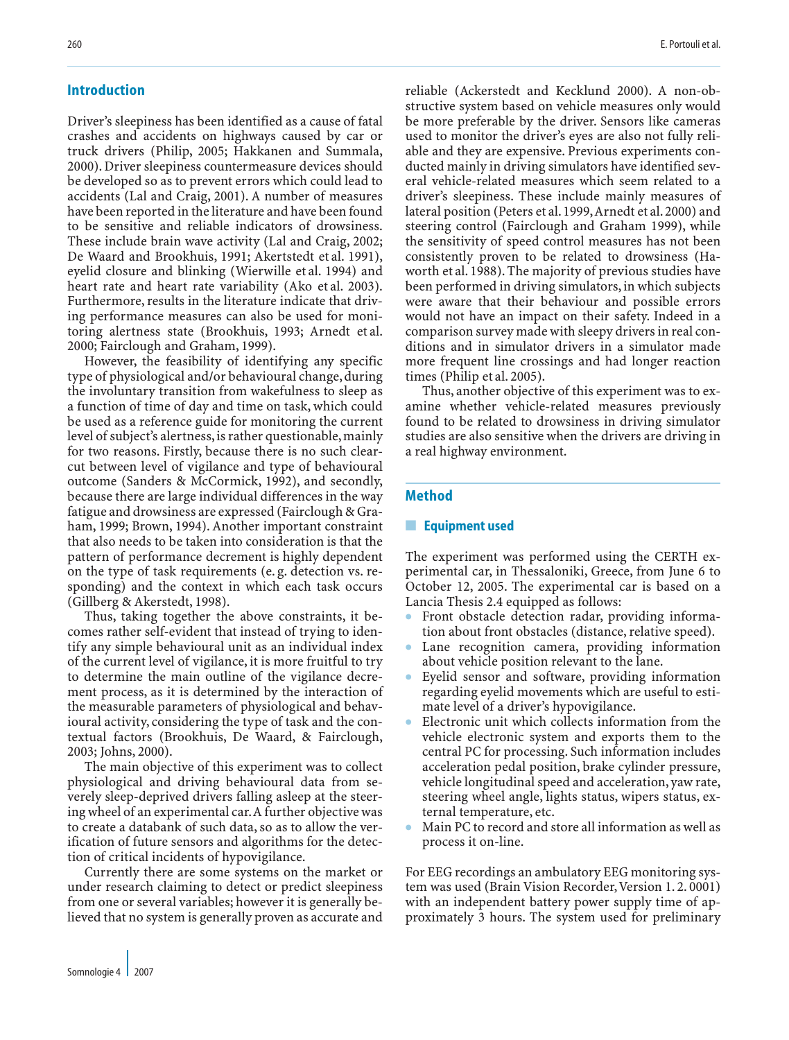# Introduction

Driver's sleepiness has been identified as a cause of fatal crashes and accidents on highways caused by car or truck drivers (Philip, 2005; Hakkanen and Summala, 2000). Driver sleepiness countermeasure devices should be developed so as to prevent errors which could lead to accidents (Lal and Craig, 2001). A number of measures have been reported in the literature and have been found to be sensitive and reliable indicators of drowsiness. These include brain wave activity (Lal and Craig, 2002; De Waard and Brookhuis, 1991; Akertstedt et al. 1991), eyelid closure and blinking (Wierwille et al. 1994) and heart rate and heart rate variability (Ako et al. 2003). Furthermore, results in the literature indicate that driving performance measures can also be used for monitoring alertness state (Brookhuis, 1993; Arnedt et al. 2000; Fairclough and Graham, 1999).

However, the feasibility of identifying any specific type of physiological and/or behavioural change, during the involuntary transition from wakefulness to sleep as a function of time of day and time on task, which could be used as a reference guide for monitoring the current level of subject's alertness,is rather questionable,mainly for two reasons. Firstly, because there is no such clearcut between level of vigilance and type of behavioural outcome (Sanders & McCormick, 1992), and secondly, because there are large individual differences in the way fatigue and drowsiness are expressed (Fairclough & Graham, 1999; Brown, 1994). Another important constraint that also needs to be taken into consideration is that the pattern of performance decrement is highly dependent on the type of task requirements (e. g. detection vs. responding) and the context in which each task occurs (Gillberg & Akerstedt, 1998).

Thus, taking together the above constraints, it becomes rather self-evident that instead of trying to identify any simple behavioural unit as an individual index of the current level of vigilance, it is more fruitful to try to determine the main outline of the vigilance decrement process, as it is determined by the interaction of the measurable parameters of physiological and behavioural activity, considering the type of task and the contextual factors (Brookhuis, De Waard, & Fairclough, 2003; Johns, 2000).

The main objective of this experiment was to collect physiological and driving behavioural data from severely sleep-deprived drivers falling asleep at the steering wheel of an experimental car.A further objective was to create a databank of such data, so as to allow the verification of future sensors and algorithms for the detection of critical incidents of hypovigilance.

Currently there are some systems on the market or under research claiming to detect or predict sleepiness from one or several variables; however it is generally believed that no system is generally proven as accurate and reliable (Ackerstedt and Kecklund 2000). A non-obstructive system based on vehicle measures only would be more preferable by the driver. Sensors like cameras used to monitor the driver's eyes are also not fully reliable and they are expensive. Previous experiments conducted mainly in driving simulators have identified several vehicle-related measures which seem related to a driver's sleepiness. These include mainly measures of lateral position (Peters et al. 1999,Arnedt et al. 2000) and steering control (Fairclough and Graham 1999), while the sensitivity of speed control measures has not been consistently proven to be related to drowsiness (Haworth et al. 1988). The majority of previous studies have been performed in driving simulators, in which subjects were aware that their behaviour and possible errors would not have an impact on their safety. Indeed in a comparison survey made with sleepy drivers in real conditions and in simulator drivers in a simulator made more frequent line crossings and had longer reaction times (Philip et al. 2005).

Thus, another objective of this experiment was to examine whether vehicle-related measures previously found to be related to drowsiness in driving simulator studies are also sensitive when the drivers are driving in a real highway environment.

# Method

# ■ Equipment used

The experiment was performed using the CERTH experimental car, in Thessaloniki, Greece, from June 6 to October 12, 2005. The experimental car is based on a Lancia Thesis 2.4 equipped as follows:

- Front obstacle detection radar, providing information about front obstacles (distance, relative speed).
- Lane recognition camera, providing information about vehicle position relevant to the lane.
- Eyelid sensor and software, providing information regarding eyelid movements which are useful to estimate level of a driver's hypovigilance.
- Electronic unit which collects information from the vehicle electronic system and exports them to the central PC for processing. Such information includes acceleration pedal position, brake cylinder pressure, vehicle longitudinal speed and acceleration, yaw rate, steering wheel angle, lights status, wipers status, external temperature, etc.
- Main PC to record and store all information as well as process it on-line.

For EEG recordings an ambulatory EEG monitoring system was used (Brain Vision Recorder, Version 1.2.0001) with an independent battery power supply time of approximately 3 hours. The system used for preliminary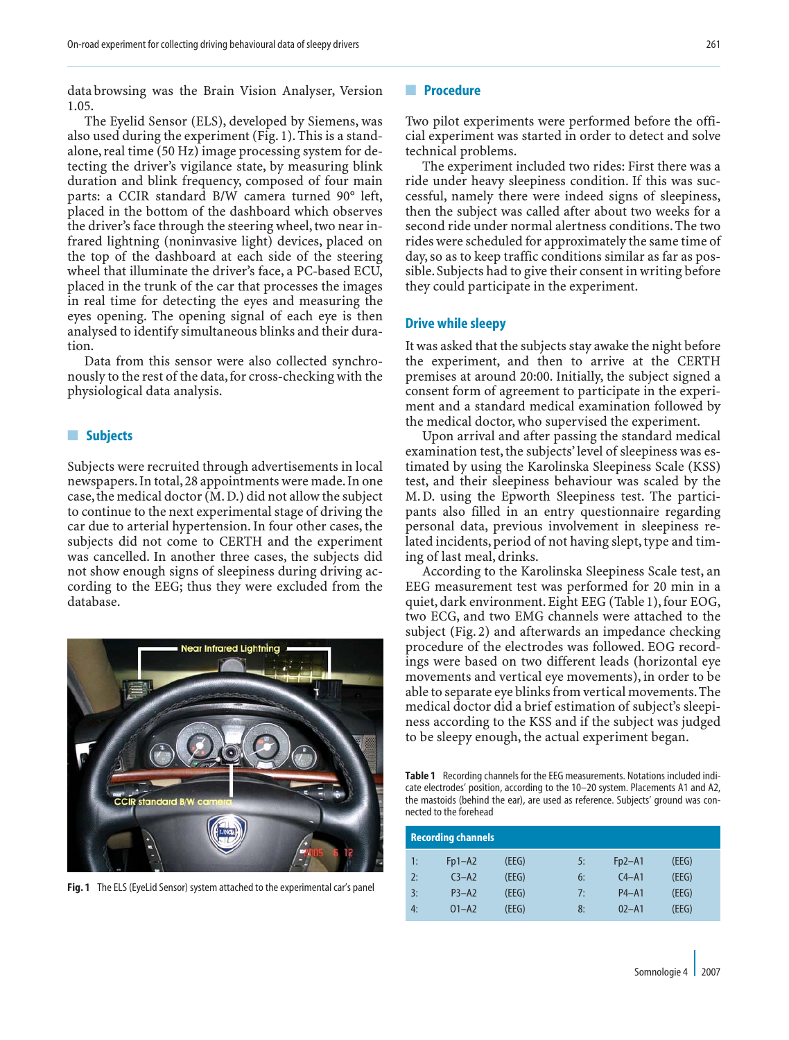data browsing was the Brain Vision Analyser, Version 1.05.

The Eyelid Sensor (ELS), developed by Siemens, was also used during the experiment (Fig. 1). This is a standalone, real time (50 Hz) image processing system for detecting the driver's vigilance state, by measuring blink duration and blink frequency, composed of four main parts: a CCIR standard B/W camera turned 90° left, placed in the bottom of the dashboard which observes the driver's face through the steering wheel, two near infrared lightning (noninvasive light) devices, placed on the top of the dashboard at each side of the steering wheel that illuminate the driver's face, a PC-based ECU, placed in the trunk of the car that processes the images in real time for detecting the eyes and measuring the eyes opening. The opening signal of each eye is then analysed to identify simultaneous blinks and their duration.

Data from this sensor were also collected synchronously to the rest of the data, for cross-checking with the physiological data analysis.

#### ■ Subjects

Subjects were recruited through advertisements in local newspapers.In total,28 appointments were made.In one case,the medical doctor (M. D.) did not allow the subject to continue to the next experimental stage of driving the car due to arterial hypertension. In four other cases, the subjects did not come to CERTH and the experiment was cancelled. In another three cases, the subjects did not show enough signs of sleepiness during driving according to the EEG; thus they were excluded from the database.



Fig. 1 The ELS (EyeLid Sensor) system attached to the experimental car's panel

# ■ Procedure

Two pilot experiments were performed before the official experiment was started in order to detect and solve technical problems.

The experiment included two rides: First there was a ride under heavy sleepiness condition. If this was successful, namely there were indeed signs of sleepiness, then the subject was called after about two weeks for a second ride under normal alertness conditions. The two rides were scheduled for approximately the same time of day, so as to keep traffic conditions similar as far as possible. Subjects had to give their consent in writing before they could participate in the experiment.

#### Drive while sleepy

It was asked that the subjects stay awake the night before the experiment, and then to arrive at the CERTH premises at around 20:00. Initially, the subject signed a consent form of agreement to participate in the experiment and a standard medical examination followed by the medical doctor, who supervised the experiment.

Upon arrival and after passing the standard medical examination test, the subjects' level of sleepiness was estimated by using the Karolinska Sleepiness Scale (KSS) test, and their sleepiness behaviour was scaled by the M. D. using the Epworth Sleepiness test. The participants also filled in an entry questionnaire regarding personal data, previous involvement in sleepiness related incidents, period of not having slept, type and timing of last meal, drinks.

According to the Karolinska Sleepiness Scale test, an EEG measurement test was performed for 20 min in a quiet, dark environment. Eight EEG (Table 1), four EOG, two ECG, and two EMG channels were attached to the subject (Fig. 2) and afterwards an impedance checking procedure of the electrodes was followed. EOG recordings were based on two different leads (horizontal eye movements and vertical eye movements), in order to be able to separate eye blinks from vertical movements.The medical doctor did a brief estimation of subject's sleepiness according to the KSS and if the subject was judged to be sleepy enough, the actual experiment began.

Table 1 Recording channels for the EEG measurements. Notations included indicate electrodes' position, according to the 10–20 system. Placements A1 and A2, the mastoids (behind the ear), are used as reference. Subjects' ground was connected to the forehead

| <b>Recording channels</b> |           |       |    |           |       |  |  |  |
|---------------------------|-----------|-------|----|-----------|-------|--|--|--|
| 1:                        | $Fp1-A2$  | (EEG) | 5: | $Fp2-A1$  | (EEG) |  |  |  |
| 2:                        | $C3 - A2$ | (EEG) | 6: | $C4 - A1$ | (EEG) |  |  |  |
| 3:                        | $P3 - A2$ | (EEG) | 7: | $P4 - A1$ | (EEG) |  |  |  |
| 4:                        | $O1 - A2$ | (EEG) | 8: | $02 - A1$ | (EEG) |  |  |  |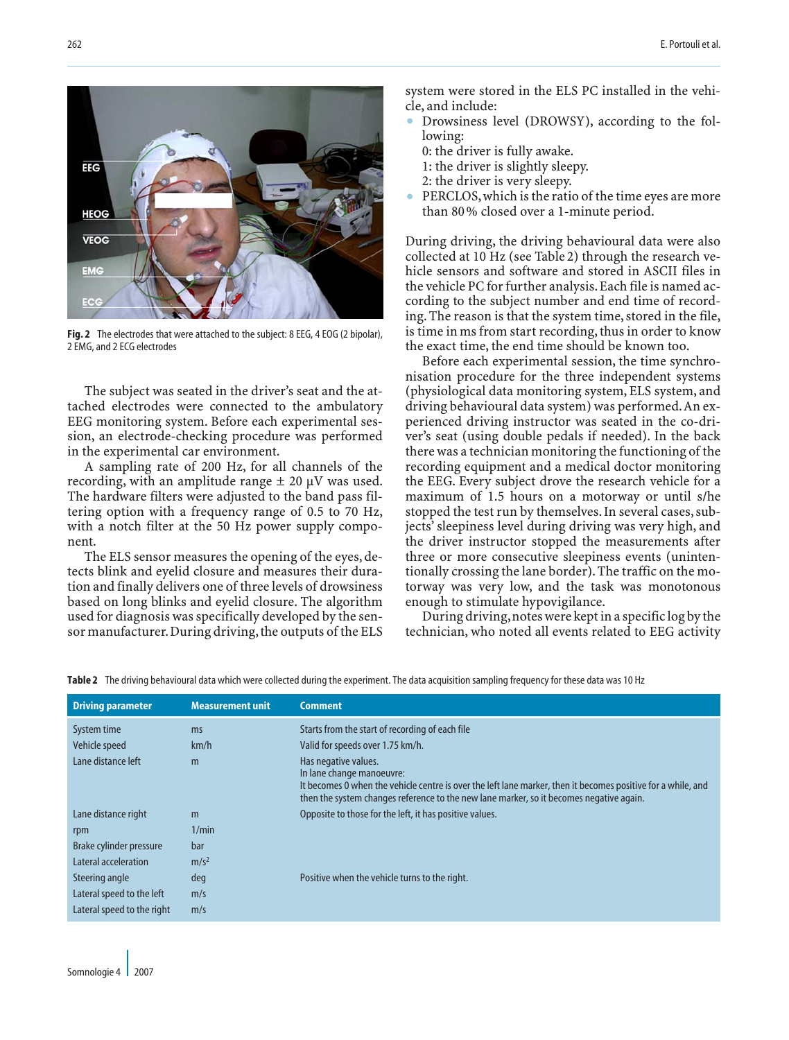system were stored in the ELS PC installed in the vehicle, and include:

- Drowsiness level (DROWSY), according to the following:
	- 0: the driver is fully awake.
	- 1: the driver is slightly sleepy.
	- 2: the driver is very sleepy.
- PERCLOS,which is the ratio of the time eyes are more than 80 % closed over a 1-minute period.

During driving, the driving behavioural data were also collected at 10 Hz (see Table 2) through the research vehicle sensors and software and stored in ASCII files in the vehicle PC for further analysis.Each file is named according to the subject number and end time of recording. The reason is that the system time, stored in the file, is time in ms from start recording, thus in order to know the exact time, the end time should be known too.

Before each experimental session, the time synchronisation procedure for the three independent systems (physiological data monitoring system, ELS system, and driving behavioural data system) was performed.An experienced driving instructor was seated in the co-driver's seat (using double pedals if needed). In the back there was a technician monitoring the functioning of the recording equipment and a medical doctor monitoring the EEG. Every subject drove the research vehicle for a maximum of 1.5 hours on a motorway or until s/he stopped the test run by themselves. In several cases, subjects' sleepiness level during driving was very high, and the driver instructor stopped the measurements after three or more consecutive sleepiness events (unintentionally crossing the lane border). The traffic on the motorway was very low, and the task was monotonous enough to stimulate hypovigilance.

During driving,notes were kept in a specific log by the technician, who noted all events related to EEG activity

Table 2 The driving behavioural data which were collected during the experiment. The data acquisition sampling frequency for these data was 10 Hz

| <b>Driving parameter</b>   | <b>Measurement unit</b> | <b>Comment</b>                                                                                                                                                                                                                                               |
|----------------------------|-------------------------|--------------------------------------------------------------------------------------------------------------------------------------------------------------------------------------------------------------------------------------------------------------|
| System time                | ms                      | Starts from the start of recording of each file                                                                                                                                                                                                              |
| Vehicle speed              | km/h                    | Valid for speeds over 1.75 km/h.                                                                                                                                                                                                                             |
| Lane distance left         | m                       | Has negative values.<br>In lane change manoeuvre:<br>It becomes 0 when the vehicle centre is over the left lane marker, then it becomes positive for a while, and<br>then the system changes reference to the new lane marker, so it becomes negative again. |
| Lane distance right        | m                       | Opposite to those for the left, it has positive values.                                                                                                                                                                                                      |
| rpm                        | 1/min                   |                                                                                                                                                                                                                                                              |
| Brake cylinder pressure    | bar                     |                                                                                                                                                                                                                                                              |
| Lateral acceleration       | m/s <sup>2</sup>        |                                                                                                                                                                                                                                                              |
| Steering angle             | deg                     | Positive when the vehicle turns to the right.                                                                                                                                                                                                                |
| Lateral speed to the left  | m/s                     |                                                                                                                                                                                                                                                              |
| Lateral speed to the right | m/s                     |                                                                                                                                                                                                                                                              |



Fig. 2 The electrodes that were attached to the subject: 8 EEG, 4 EOG (2 bipolar), 2 EMG, and 2 ECG electrodes

The subject was seated in the driver's seat and the attached electrodes were connected to the ambulatory EEG monitoring system. Before each experimental session, an electrode-checking procedure was performed in the experimental car environment.

A sampling rate of 200 Hz, for all channels of the recording, with an amplitude range  $\pm$  20  $\mu$ V was used. The hardware filters were adjusted to the band pass filtering option with a frequency range of 0.5 to 70 Hz, with a notch filter at the 50 Hz power supply component.

The ELS sensor measures the opening of the eyes, detects blink and eyelid closure and measures their duration and finally delivers one of three levels of drowsiness based on long blinks and eyelid closure. The algorithm used for diagnosis was specifically developed by the sensor manufacturer. During driving, the outputs of the ELS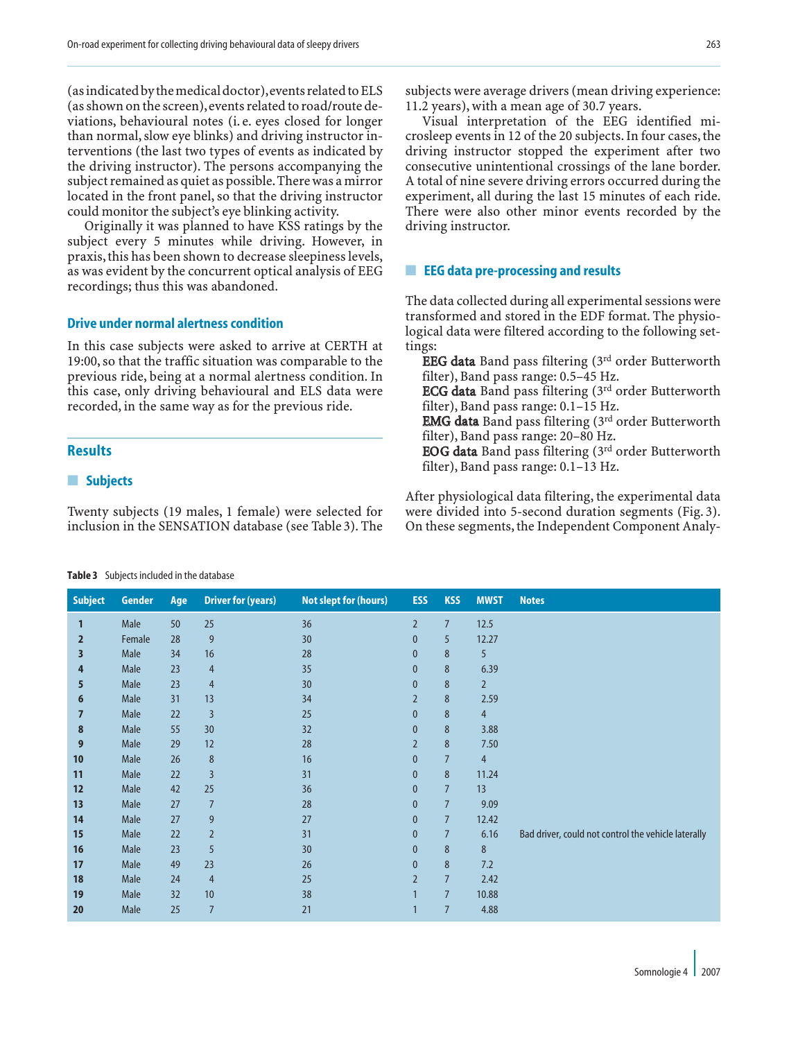(as indicated by the medical doctor),events related to ELS (as shown on the screen),events related to road/route deviations, behavioural notes (i. e. eyes closed for longer than normal, slow eye blinks) and driving instructor interventions (the last two types of events as indicated by the driving instructor). The persons accompanying the subject remained as quiet as possible.There was a mirror located in the front panel, so that the driving instructor could monitor the subject's eye blinking activity.

Originally it was planned to have KSS ratings by the subject every 5 minutes while driving. However, in praxis, this has been shown to decrease sleepiness levels, as was evident by the concurrent optical analysis of EEG recordings; thus this was abandoned.

# Drive under normal alertness condition

In this case subjects were asked to arrive at CERTH at 19:00, so that the traffic situation was comparable to the previous ride, being at a normal alertness condition. In this case, only driving behavioural and ELS data were recorded, in the same way as for the previous ride.

#### **Results**

#### ■ Subjects

Twenty subjects (19 males, 1 female) were selected for inclusion in the SENSATION database (see Table 3). The

#### Table 3 Subjects included in the database

subjects were average drivers (mean driving experience: 11.2 years), with a mean age of 30.7 years.

Visual interpretation of the EEG identified microsleep events in 12 of the 20 subjects. In four cases, the driving instructor stopped the experiment after two consecutive unintentional crossings of the lane border. A total of nine severe driving errors occurred during the experiment, all during the last 15 minutes of each ride. There were also other minor events recorded by the driving instructor.

#### ■ EEG data pre-processing and results

The data collected during all experimental sessions were transformed and stored in the EDF format. The physiological data were filtered according to the following settings:

EEG data Band pass filtering (3rd order Butterworth filter), Band pass range: 0.5–45 Hz.

ECG data Band pass filtering (3rd order Butterworth filter), Band pass range: 0.1–15 Hz.

EMG data Band pass filtering (3rd order Butterworth filter), Band pass range: 20–80 Hz.

EOG data Band pass filtering (3rd order Butterworth filter), Band pass range: 0.1–13 Hz.

After physiological data filtering, the experimental data were divided into 5-second duration segments (Fig. 3). On these segments, the Independent Component Analy-

| <b>Subject</b> | Gender | Age | <b>Driver for (years)</b> | <b>Not slept for (hours)</b> | <b>ESS</b>       | <b>KSS</b>     | <b>MWST</b>    | <b>Notes</b>                                        |
|----------------|--------|-----|---------------------------|------------------------------|------------------|----------------|----------------|-----------------------------------------------------|
| $\mathbf{1}$   | Male   | 50  | 25                        | 36                           | $\overline{2}$   | $\overline{7}$ | 12.5           |                                                     |
| 2              | Female | 28  | $\overline{9}$            | 30                           | $\mathbf{0}$     | 5              | 12.27          |                                                     |
| 3              | Male   | 34  | 16                        | 28                           | $\mathbf{0}$     | 8              | 5              |                                                     |
| 4              | Male   | 23  | $\overline{4}$            | 35                           | $\mathbf{0}$     | 8              | 6.39           |                                                     |
| 5              | Male   | 23  | $\overline{4}$            | 30                           | $\boldsymbol{0}$ | $\,8\,$        | $\overline{2}$ |                                                     |
| 6              | Male   | 31  | 13                        | 34                           | $\overline{2}$   | 8              | 2.59           |                                                     |
| 7              | Male   | 22  | $\overline{3}$            | 25                           | $\mathbf{0}$     | $\,8\,$        | $\overline{4}$ |                                                     |
| 8              | Male   | 55  | 30                        | 32                           | $\mathbf{0}$     | $\,8\,$        | 3.88           |                                                     |
| 9              | Male   | 29  | 12                        | 28                           | $\overline{2}$   | $\,8\,$        | 7.50           |                                                     |
| 10             | Male   | 26  | $\bf 8$                   | 16                           | $\mathbf{0}$     | $\overline{7}$ | $\overline{4}$ |                                                     |
| 11             | Male   | 22  | 3                         | 31                           | $\bf{0}$         | 8              | 11.24          |                                                     |
| 12             | Male   | 42  | 25                        | 36                           | $\mathbf{0}$     | $\overline{7}$ | 13             |                                                     |
| 13             | Male   | 27  | $\overline{7}$            | 28                           | $\bf{0}$         | $\overline{7}$ | 9.09           |                                                     |
| 14             | Male   | 27  | 9                         | 27                           | $\boldsymbol{0}$ | $\overline{7}$ | 12.42          |                                                     |
| 15             | Male   | 22  | $\overline{2}$            | 31                           | $\mathbf{0}$     | $\overline{7}$ | 6.16           | Bad driver, could not control the vehicle laterally |
| 16             | Male   | 23  | 5                         | 30                           | $\mathbf{0}$     | $\,8\,$        | 8              |                                                     |
| 17             | Male   | 49  | 23                        | 26                           | $\mathbf{0}$     | $\, 8$         | 7.2            |                                                     |
| 18             | Male   | 24  | $\overline{4}$            | 25                           | $\overline{2}$   | $\overline{7}$ | 2.42           |                                                     |
| 19             | Male   | 32  | 10                        | 38                           |                  | $\overline{7}$ | 10.88          |                                                     |
| 20             | Male   | 25  | $\overline{7}$            | 21                           |                  | $\overline{7}$ | 4.88           |                                                     |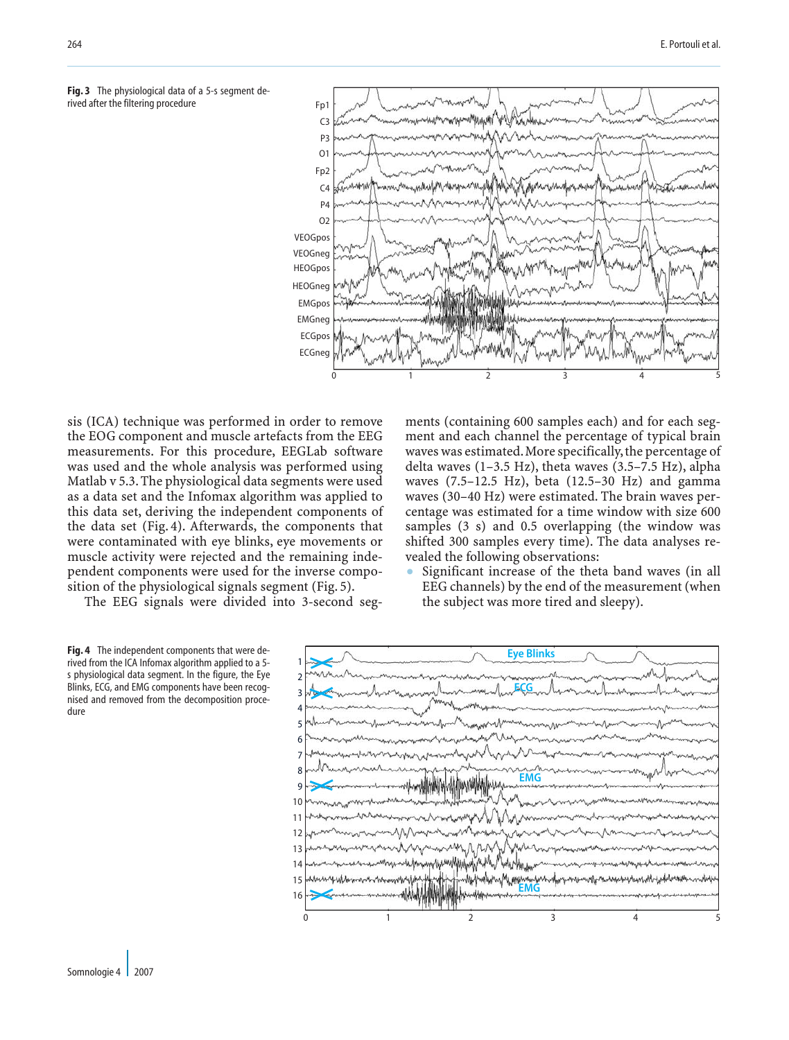



sis (ICA) technique was performed in order to remove the EOG component and muscle artefacts from the EEG measurements. For this procedure, EEGLab software was used and the whole analysis was performed using Matlab v 5.3. The physiological data segments were used as a data set and the Infomax algorithm was applied to this data set, deriving the independent components of the data set (Fig. 4). Afterwards, the components that were contaminated with eye blinks, eye movements or muscle activity were rejected and the remaining independent components were used for the inverse composition of the physiological signals segment (Fig. 5).

The EEG signals were divided into 3-second seg-

ments (containing 600 samples each) and for each segment and each channel the percentage of typical brain waves was estimated. More specifically, the percentage of delta waves (1–3.5 Hz), theta waves (3.5–7.5 Hz), alpha waves (7.5–12.5 Hz), beta (12.5–30 Hz) and gamma waves (30–40 Hz) were estimated. The brain waves percentage was estimated for a time window with size 600 samples (3 s) and 0.5 overlapping (the window was shifted 300 samples every time). The data analyses revealed the following observations:

 Significant increase of the theta band waves (in all EEG channels) by the end of the measurement (when the subject was more tired and sleepy).



Fig. 4 The independent components that were derived from the ICA Infomax algorithm applied to a 5 s physiological data segment. In the figure, the Eye Blinks, ECG, and EMG components have been recognised and removed from the decomposition procedure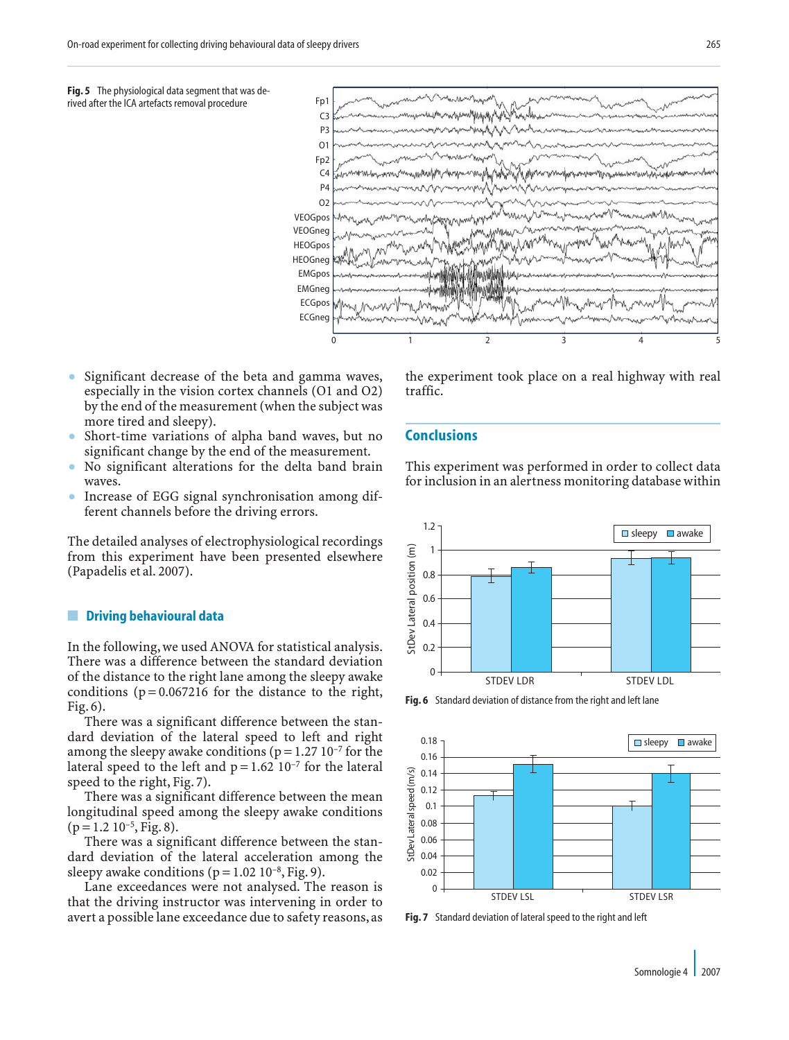

- Significant decrease of the beta and gamma waves, especially in the vision cortex channels (O1 and O2) by the end of the measurement (when the subject was more tired and sleepy).
- Short-time variations of alpha band waves, but no significant change by the end of the measurement.
- No significant alterations for the delta band brain waves.
- Increase of EGG signal synchronisation among different channels before the driving errors.

The detailed analyses of electrophysiological recordings from this experiment have been presented elsewhere (Papadelis et al. 2007).

# **Driving behavioural data**

In the following, we used ANOVA for statistical analysis. There was a difference between the standard deviation of the distance to the right lane among the sleepy awake conditions ( $p = 0.067216$  for the distance to the right, Fig. 6).

There was a significant difference between the standard deviation of the lateral speed to left and right among the sleepy awake conditions ( $p = 1.27 \times 10^{-7}$  for the lateral speed to the left and  $p = 1.62 \times 10^{-7}$  for the lateral speed to the right, Fig. 7).

There was a significant difference between the mean longitudinal speed among the sleepy awake conditions  $(p = 1.2 \ 10^{-5}, Fig. 8).$ 

There was a significant difference between the standard deviation of the lateral acceleration among the sleepy awake conditions ( $p = 1.02 \times 10^{-8}$ , Fig. 9).

Lane exceedances were not analysed. The reason is that the driving instructor was intervening in order to avert a possible lane exceedance due to safety reasons,as the experiment took place on a real highway with real traffic.

# Conclusions

This experiment was performed in order to collect data for inclusion in an alertness monitoring database within



Fig. 6 Standard deviation of distance from the right and left lane



Fig. 7 Standard deviation of lateral speed to the right and left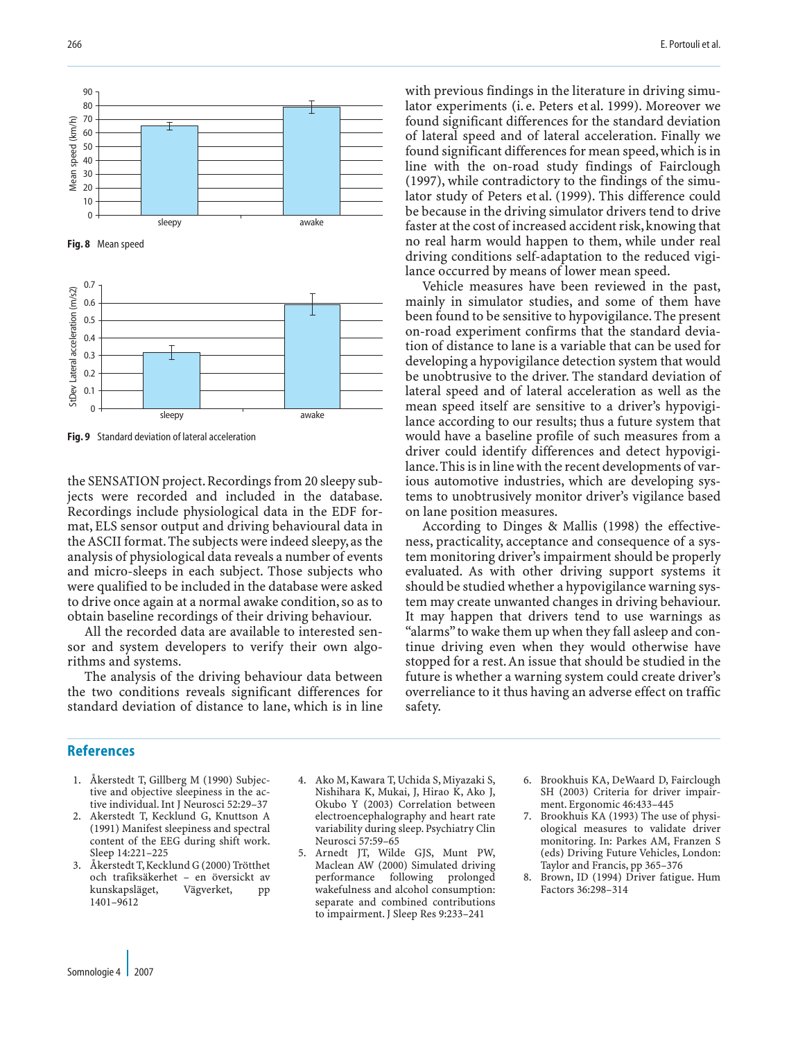

Fig. 9 Standard deviation of lateral acceleration

the SENSATION project. Recordings from 20 sleepy subjects were recorded and included in the database. Recordings include physiological data in the EDF format, ELS sensor output and driving behavioural data in the ASCII format.The subjects were indeed sleepy,as the analysis of physiological data reveals a number of events and micro-sleeps in each subject. Those subjects who were qualified to be included in the database were asked to drive once again at a normal awake condition, so as to obtain baseline recordings of their driving behaviour.

All the recorded data are available to interested sensor and system developers to verify their own algorithms and systems.

The analysis of the driving behaviour data between the two conditions reveals significant differences for standard deviation of distance to lane, which is in line

with previous findings in the literature in driving simulator experiments (i. e. Peters et al. 1999). Moreover we found significant differences for the standard deviation of lateral speed and of lateral acceleration. Finally we found significant differences for mean speed, which is in line with the on-road study findings of Fairclough (1997), while contradictory to the findings of the simulator study of Peters et al. (1999). This difference could be because in the driving simulator drivers tend to drive faster at the cost of increased accident risk, knowing that no real harm would happen to them, while under real driving conditions self-adaptation to the reduced vigilance occurred by means of lower mean speed.

Vehicle measures have been reviewed in the past, mainly in simulator studies, and some of them have been found to be sensitive to hypovigilance. The present on-road experiment confirms that the standard deviation of distance to lane is a variable that can be used for developing a hypovigilance detection system that would be unobtrusive to the driver. The standard deviation of lateral speed and of lateral acceleration as well as the mean speed itself are sensitive to a driver's hypovigilance according to our results; thus a future system that would have a baseline profile of such measures from a driver could identify differences and detect hypovigilance.This is in line with the recent developments of various automotive industries, which are developing systems to unobtrusively monitor driver's vigilance based on lane position measures.

According to Dinges & Mallis (1998) the effectiveness, practicality, acceptance and consequence of a system monitoring driver's impairment should be properly evaluated. As with other driving support systems it should be studied whether a hypovigilance warning system may create unwanted changes in driving behaviour. It may happen that drivers tend to use warnings as "alarms"to wake them up when they fall asleep and continue driving even when they would otherwise have stopped for a rest. An issue that should be studied in the future is whether a warning system could create driver's overreliance to it thus having an adverse effect on traffic safety.

#### References

- 1. Åkerstedt T, Gillberg M (1990) Subjective and objective sleepiness in the active individual. Int J Neurosci 52:29–37
- 2. Akerstedt T, Kecklund G, Knuttson A (1991) Manifest sleepiness and spectral content of the EEG during shift work. Sleep 14:221–225
- 3. Åkerstedt T,Kecklund G (2000) Trötthet och trafiksäkerhet – en översickt av kunskapsläget, Vägverket, pp 1401–9612
- 4. Ako M, Kawara T, Uchida S, Miyazaki S, Nishihara K, Mukai, J, Hirao K, Ako J, Okubo Y (2003) Correlation between electroencephalography and heart rate variability during sleep. Psychiatry Clin Neurosci 57:59–65
- 5. Arnedt JT, Wilde GJS, Munt PW, Maclean AW (2000) Simulated driving<br>performance following prolonged following prolonged wakefulness and alcohol consumption: separate and combined contributions to impairment. J Sleep Res 9:233–241
- 6. Brookhuis KA, DeWaard D, Fairclough SH (2003) Criteria for driver impairment. Ergonomic 46:433–445
- 7. Brookhuis KA (1993) The use of physiological measures to validate driver monitoring. In: Parkes AM, Franzen S (eds) Driving Future Vehicles, London: Taylor and Francis, pp 365–376
- 8. Brown, ID (1994) Driver fatigue. Hum Factors 36:298–314